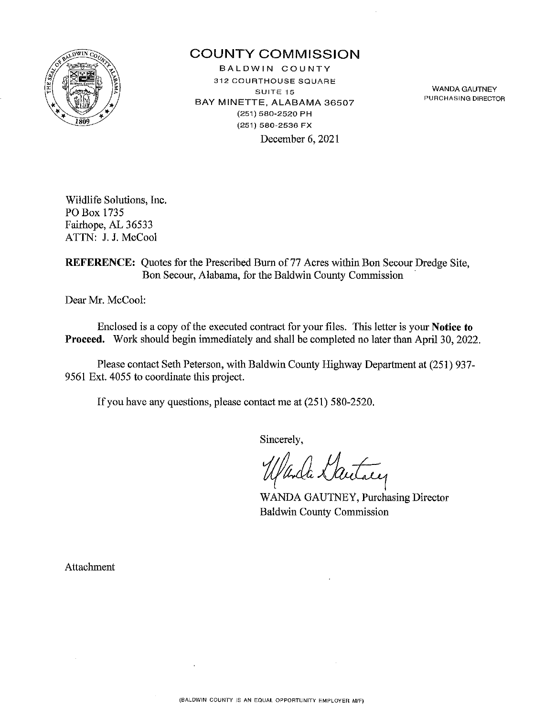

## **COUNTY COMMISSION**

BALDWIN COUNTY **312 COURTHOUSE SQUARE SUITE 15**  BAY MINETTE, ALABAMA 36507 (251) 580-2520 PH (251) 580-2536 FX December 6, 2021

WANDA GAUTNEY **PURCHASING DIRECTOR** 

Wildlife Solutions, Inc. PO Box 1735 Fairhope, AL 36533 ATTN: J. J. McCool

**REFERENCE:** Quotes for the Prescribed Burn of 77 Acres within Bon Secour Dredge Site, Bon Secour, Alabama, for the Baldwin County Commission

Dear Mr. McCool:

Enclosed is a copy of the executed contract for your files. This letter is your **Notice to Proceed.** Work should begin immediately and shall be completed no later than April 30, 2022.

Please contact Seth Peterson, with Baldwin County Highway Department at (251) 937- 9561 Ext. 4055 to coordinate this project.

If you have any questions, please contact me at (251) 580-2520.

Sincerely,

WANDA GAUTNEY, Purchasing Director Baldwin County Commission

Attachment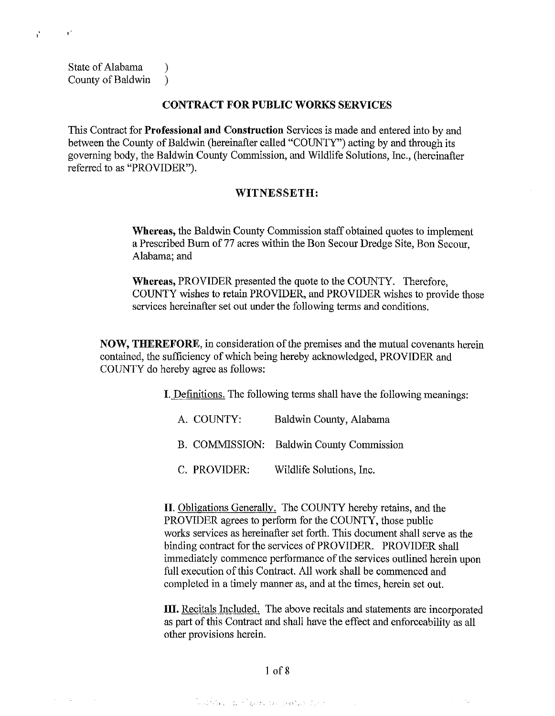State of Alabama (1) County of Baldwin )

 $\sim 10^6$ 

 $\mathcal{A}=\{A_1,\ldots,A_n\}$  . The  $\mathcal{A}$ 

 $\sim$ 

 $\mathbf{r}$ 

### **CONTRACT FOR PUBLIC WORKS SERVICES**

This Contract for **Professional and Construction** Services is made and entered into by and between the County of Baldwin (hereinafter called "COUNTY") acting by and through its governing body, the Baldwin County Commission, and Wildlife Solutions, Inc., (hereinafter referred to as "PROVIDER").

#### **WITNESSETH:**

**Whereas,** the Baldwin County Commission staff obtained quotes to implement a Prescribed Burn of 77 acres within the Bon Secour Dredge Site, Bon Secour, Alabama; and

**Whereas,** PROVIDER presented the quote to the COUNTY. Therefore, COUNTY wishes to retain PROVIDER, and PROVIDER wishes to provide those services hereinafter set out under the following terms and conditions.

**NOW, THEREFORE,** in consideration of the premises and the mutual covenants herein contained, the sufficiency of which being hereby acknowledged, PROVIDER and COUNTY do hereby agree as follows:

**I.** Defmitions. The following terms shall have the following meanings:

| A. COUNTY:   | Baldwin County, Alabama                  |
|--------------|------------------------------------------|
|              | B. COMMISSION: Baldwin County Commission |
| C. PROVIDER: | Wildlife Solutions, Inc.                 |

**II.** Obligations Generally. The COUNTY hereby retains, and the PROVIDER agrees to perform for the COUNTY, those public works services as hereinafter set forth. This document shall serve as the binding contract for the services of PROVIDER. PROVIDER shall immediately commence performance of the services outlined herein upon full execution of this Contract. All work shall be commenced and completed in a timely manner as, and at the times, herein set out.

**III.** Recitals Included. The above recitals and statements are incorporated as part of this Contract and shall have the effect and enforceability as all other provisions herein.

 $\sim 10^6$ 

 $\mathcal{L}^{\text{max}}$  ,  $\mathcal{L}^{\text{max}}_{\text{max}}$ 

1of8

กัน คลิกัน ค.ศ. 1920 - มีนาคม 1930 (ค.ศ. 1930)<br>มหาศักราช 1930 (ค.ศ. 1930)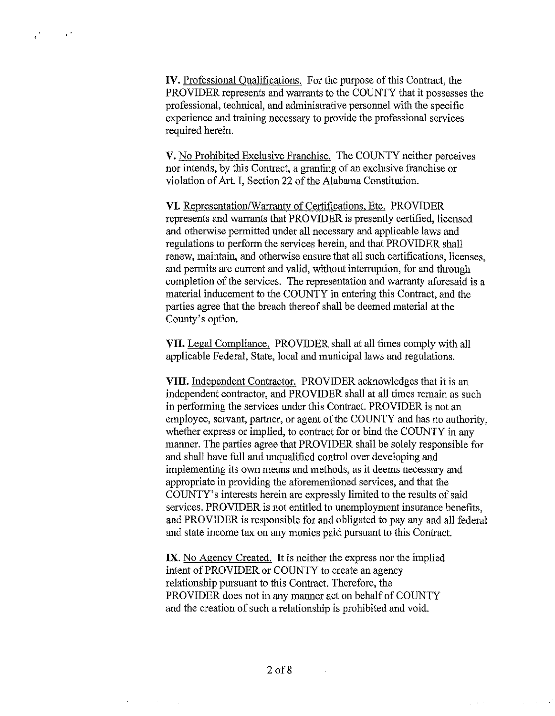**IV.** Professional Qualifications. For the purpose of this Contract, the PROVIDER represents and warrants to the COUNTY that it possesses the professional, technical, and administrative personnel with the specific experience and training necessary to provide the professional services required herein.

V. No Prohibited Exclusive Franchise. The COUNTY neither perceives nor intends, by this Contract, a granting of an exclusive franchise or violation of Art. I, Section 22 of the Alabama Constitution.

**VI.** Representation/Warrantv of Certifications, Etc. PROVIDER represents and warrants that PROVIDER is presently certified, licensed and otherwise permitted under all necessary and applicable laws and regulations to perform the services herein, and that PROVIDER shall renew, maintain, and otherwise ensure that all such certifications, licenses, and permits are current and valid, without interruption, for and through completion of the services. The representation and warranty aforesaid is a material inducement to the COUNTY in entering this Contract, and the parties agree that the breach thereof shall be deemed material at the County's option.

**VII.** Legal Compliance. PROVIDER shall at all times comply with all applicable Federal, State, local and municipal laws and regulations.

**VIII.** Independent Contractor. PROVIDER acknowledges that it is an independent contractor, and PROVIDER shall at all times remain as such in performing the services under this Contract. PROVIDER is not an employee, servant, partner, or agent of the COUNTY and has no authority, whether express or implied, to contract for or bind the COUNTY in any manner. The parties agree that PROVIDER shall be solely responsible for and shall have full and unqualified control over developing and implementing its own means and methods, as it deems necessary and appropriate in providing the aforementioned services, and that the COUNTY's interests herein are expressly limited to the results of said services. PROVIDER is not entitled to unemployment insurance benefits, and PROVIDER is responsible for and obligated to pay any and all federal and state income tax on any monies paid pursuant to this Contract.

**IX.** No Agency Created. It is neither the express nor the implied intent of PROVIDER or COUNTY to create an agency relationship pursuant to this Contract. Therefore, the PROVIDER does not in any manner act on behalf of COUNTY and the creation of such a relationship is prohibited and void.

 $\mathcal{L}_{\text{max}}$  , where  $\mathcal{L}_{\text{max}}$ 

 $\bar{z}$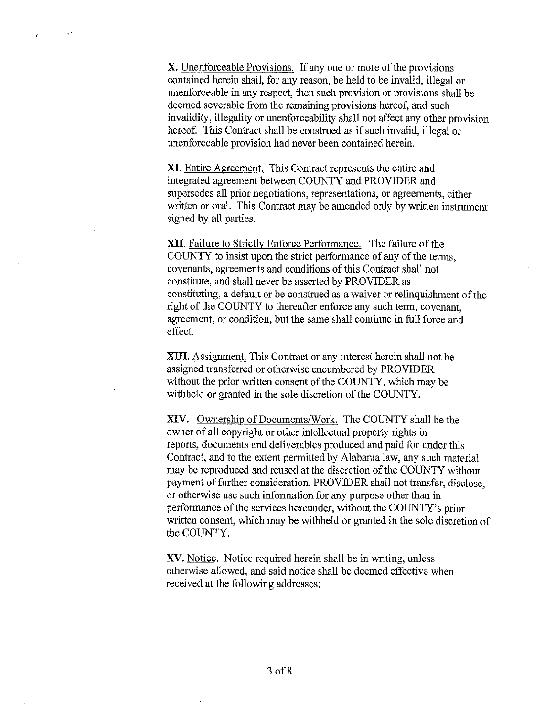**X.** Unenforceable Provisions. If any one or more of the provisions contained herein shall, for any reason, be held to be invalid, illegal or unenforceable in any respect, then such provision or provisions shall be deemed severable from the remaining provisions hereof, and such invalidity, illegality or unenforceability shall not affect any other provision hereof. This Contract shall be construed as if such invalid, illegal or unenforceable provision had never been contained herein.

 $\mathcal{A}^{\dagger}$ 

 $\mathbf{r}^{\prime}$ 

**XI.** Entire Agreement. This Contract represents the entire and integrated agreement between COUNTY and PROVIDER and supersedes all prior negotiations, representations, or agreements, either written or oral. This Contract may be amended only by written instrument signed by all parties.

**XII.** Failure to Strictly Enforce Performance. The failure of the COUNTY to insist upon the strict performance of any of the terms, covenants, agreements and conditions of this Contract shall not constitute, and shall never be asserted by PROVIDER as constituting, a default or be construed as a waiver or relinquishment of the right of the COUNTY to thereafter enforce any such term, covenant, agreement, or condition, but the same shall continue in full force and effect.

**XIII.** Assignment. This Contract or any interest herein shall not be assigned transferred or otherwise encumbered by PROVIDER without the prior written consent of the COUNTY, which may be withheld or granted in the sole discretion of the COUNTY.

**XIV.** Ownership of Documents/Work. The COUNTY shall be the owner of all copyright or other intellectual property rights in reports, documents and deliverables produced and paid for under this Contract, and to the extent permitted by Alabama law, any such material may be reproduced and reused at the discretion of the COUNTY without payment of further consideration. PROVIDER shall not transfer, disclose, or otherwise use such information for any purpose other than in performance of the services hereunder, without the COUNTY's prior written consent, which may be withheld or granted in the sole discretion of the COUNTY.

**XV.** Notice. Notice required herein shall be in writing, unless otherwise allowed, and said notice shall be deemed effective when received at the following addresses: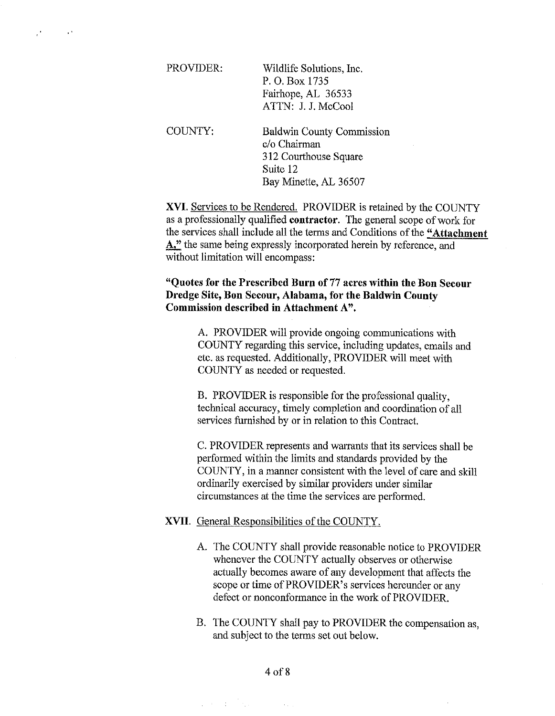| PROVIDER: | Wildlife Solutions, Inc. |  |  |
|-----------|--------------------------|--|--|
|           | P. O. Box 1735           |  |  |
|           | Fairhope, AL 36533       |  |  |
|           | ATTN: J. J. McCool       |  |  |
|           |                          |  |  |

 $\cdot$ 

 $\sim 10^4$ 

COUNTY: Baldwin County Commission c/o Chairman 312 Courthouse Square Suite 12 Bay Minette, AL 36507

**XVI.** Services to be Rendered. PROVIDER is retained by the COUNTY as a professionally qualified **contractor.** The general scope of work for the services shall include all the terms and Conditions of the **"Attachment A,"** the same being expressly incorporated herein by reference, and without limitation will encompass:

### **"Quotes for the Prescribed Burn of 77 acres within the Bon Secour Dredge Site, Bon Secour, Alabama, for the Baldwin County Commission described in Attachment A".**

A. PROVIDER will provide ongoing communications with COUNTY regarding this service, including updates, emails and etc. as requested. Additionally, PROVIDER will meet with COUNTY as needed or requested.

B. PROVIDER is responsible for the professional quality, technical accuracy, timely completion and coordination of all services furnished by or in relation to this Contract.

C. PROVIDER represents and warrants that its services shall be performed within the limits and standards provided by the COUNTY, in a manner consistent with the level of care and skill ordinarily exercised by similar providers under similar circumstances at the time the services are performed.

#### **XVII.** General Responsibilities of the COUNTY.

- A. The COUNTY shall provide reasonable notice to PROVIDER whenever the COUNTY actually observes or otherwise actually becomes aware of any development that affects the scope or time of PROVIDER's services hereunder or any defect or nonconformance in the work of PROVIDER.
- B. The COUNTY shall pay to PROVIDER the compensation as, and subject to the terms set out below.

 $\label{eq:2.1} \frac{1}{2\pi}\left(\frac{1}{2}\left(\frac{1}{2}\right)^2-\frac{1}{2}\left(\frac{1}{2}\right)^2\right)=\frac{1}{2\pi}\left(\frac{1}{2}\left(\frac{1}{2}\right)^2-\frac{1}{2}\left(\frac{1}{2}\right)^2\right)=\frac{1}{2\pi}\left(\frac{1}{2}\right)^2.$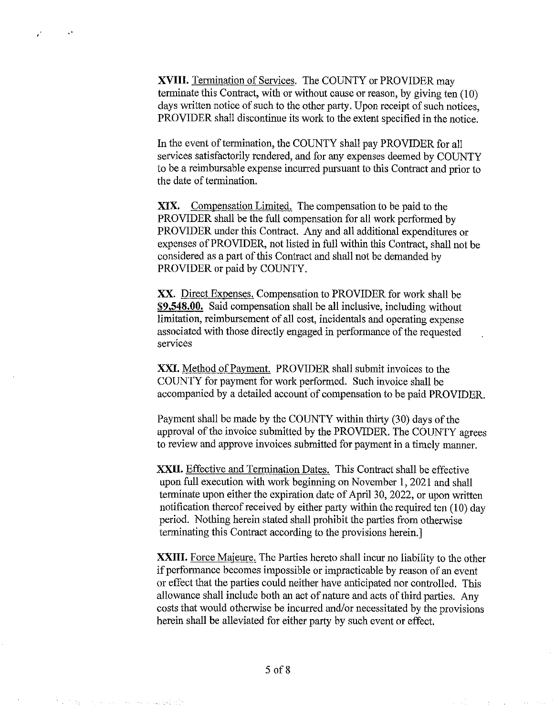**XVIII.** Termination of Services. The COUNTY or PROVIDER may terminate this Contract, with or without cause or reason, by giving ten  $(10)$ days written notice of such to the other party. Upon receipt of such notices, PROVIDER shall discontinue its work to the extent specified in the notice.

 $\mathbf{A}$ 

 $\mathbf{r}$ 

In the event of termination, the COUNTY shall pay PROVIDER for all services satisfactorily rendered, and for any expenses deemed by COUNTY to be a reimbursable expense incurred pursuant to this Contract and prior to the date of termination.

XIX. Compensation Limited. The compensation to be paid to the PROVIDER shall be the full compensation for all work performed by PROVIDER under this Contract. Any and all additional expenditures or expenses of PROVIDER, not listed in full within this Contract, shall not be considered as a part of this Contract and shall not be demanded by PROVIDER or paid by COUNTY.

XX. Direct Expenses. Compensation to PROVIDER for work shall be **\$9,548.00.** Said compensation shall be all inclusive, including without limitation, reimbursement of *all* cost, incidentals and operating expense associated with those directly engaged in performance of the requested services

**XXI.** Method of Payment. PROVIDER shall submit invoices to the COUNTY for payment for work performed. Such invoice shall be accompanied by a detailed account of compensation to be paid PROVIDER.

Payment shall be made by the COUNTY within thirty (30) days of the approval of the invoice submitted by the PROVIDER. The COUNTY agrees to review and approve invoices submitted for payment in a timely manner.

**XXII.** Effective and Termination Dates. This Contract shall be effective upon full execution with work beginning on November I, 2021 and shall terminate upon either the expiration date of April 30, 2022, or upon written notification thereof received by either party within the required ten (10) day period. Nothing herein stated shall prohibit the parties from otherwise terminating this Contract according to the provisions herein.]

**XXIII.** Force Majeure. The Parties hereto shall incur no liability to the other if perfonnance becomes impossible or impracticable by reason of an event or effect that the parties could neither have anticipated nor controlled. This allowance shall include both an act of nature and acts of third parties. Any costs that would otherwise be incurred and/or necessitated by the provisions herein shall be alleviated for either party by such event or effect.

and the state of the state of the

the control of the control of the control of the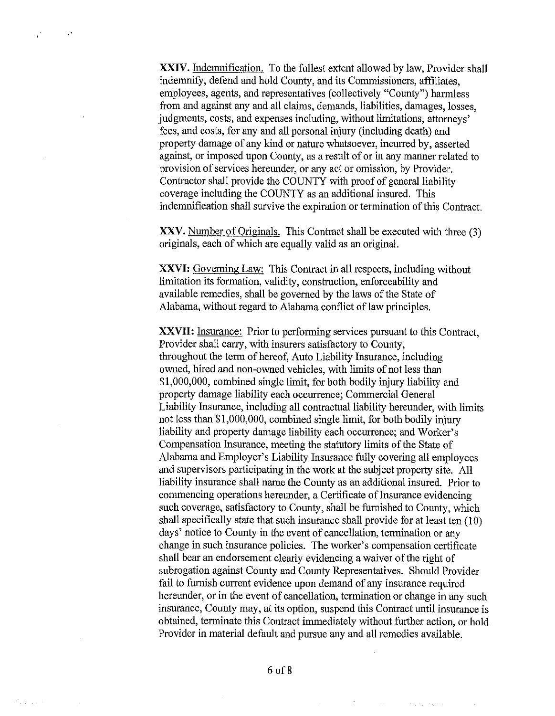XXIV. Indemnification. To the fullest extent allowed by law, Provider shall indemnify, defend and hold County, and its Commissioners, affiliates, employees, agents, and representatives (collectively "County") harmless from and against any and all claims, demands, liabilities, damages, losses, judgments, costs, and expenses including, without limitations, attorneys' fees, and costs, for any and all personal injury (including death) and property damage of any kind or nature whatsoever, incurred by, asserted against, or imposed upon County, as a result of or in any manner related to provision of services hereunder, or any act or omission, by Provider. Contractor shall provide the COUNTY with proof of general liability coverage including the COUNTY as an additional insured. This indemnification shall survive the expiration or termination of this Contract.

 $\mathbf{v}^{\star}$ 

Î,

 $\{x_{1}^{2},x_{2}^{2},\ldots,x_{n}^{2}\}$ 

XXV. Number of Originals. This Contract shall be executed with three (3) originals, each of which are equally valid as an original.

**XXVI:** Governing Law: This Contract in all respects, including without limitation its formation, validity, construction, enforceability and available remedies, shall be governed by the laws of the State of Alabama, without regard to Alabama conflict of law principles.

**XXVII:** Insurance: Prior to performing services pursuant to this Contract, Provider shall carry, with insurers satisfactory to County, throughout the term of hereof, Auto Liability Insurance, including owned, hired and non-owned vehicles, with limits of not less than \$1,000,000, combined single limit, for both bodily injury liability and property damage liability each occurrence; Commercial General Liability Insurance, including all contractual liability hereunder, with limits not less than \$1,000,000, combined single limit, for both bodily injury liability and property damage liability each occurrence; and Worker's Compensation Insurance, meeting the statutory limits of the State of Alabama and Employer's Liability Insurance fully covering all employees and supervisors participating in the work at the subject property site. All liability insurance shall name the County as an additional insured. Prior to commencing operations hereunder, a Certificate of Insurance evidencing such coverage, satisfactory to County, shall be furnished to County, which shall specifically state that such insurance shall provide for at least ten (10) days' notice to County in the event of cancellation, termination or any change in such insurance policies. The worker's compensation certificate shall bear an endorsement clearly evidencing a waiver of the right of subrogation against County and County Representatives. Should Provider fail to furnish current evidence upon demand of any insurance required hereunder, or in the event of cancellation, termination or change in any such insurance, County may, at its option, suspend this Contract until insurance is obtained, terminate this Contract immediately without further action, or hold Provider in material default and pursue any and all remedies available.

standing a program of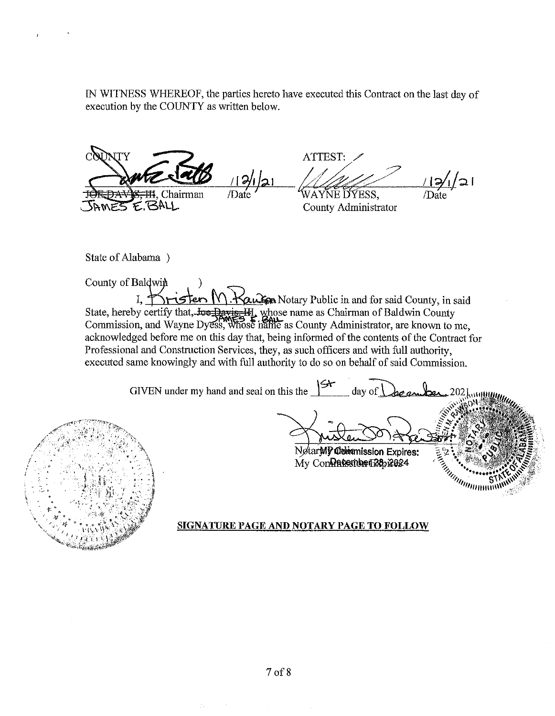IN WITNESS WHEREOF, the parties hereto have executed this Contract on the last day of execution by the COUNTY as written below.

TY  $\frac{19}{19}$ <br> $\frac{1}{10}$   $\frac{1}{10}$   $\frac{1}{10}$   $\frac{1}{10}$  . I  $\frac{1}{10}$  (Date VAYNE DYESS, Date E.BALL

ATTEST:

County Administrator

State of Alabama )

County of Baldwin I,  $\uparrow$   $\uparrow$   $\uparrow$   $\uparrow$   $\uparrow$   $\uparrow$   $\uparrow$   $\uparrow$   $\uparrow$   $\uparrow$   $\uparrow$   $\downarrow$   $\uparrow$   $\downarrow$   $\uparrow$   $\downarrow$   $\uparrow$   $\downarrow$   $\uparrow$   $\downarrow$   $\uparrow$   $\downarrow$   $\uparrow$   $\downarrow$   $\uparrow$   $\downarrow$   $\downarrow$   $\downarrow$   $\downarrow$   $\downarrow$   $\downarrow$   $\downarrow$   $\downarrow$   $\downarrow$   $\downarrow$   $\downarrow$   $\$ State, hereby certify that, <del>Joe Davis, II</del>, whose name as Chairman of Baldwin County Commission, and Wayne Dyess, whose hame as County Administrator, are known to me, acknowledged before me on this day that, being informed of the contents of the Contract for Professional and Construction Services, they, as such officers and with full authority, executed same knowingly and with full authority to do so on behalf of said Commission.

GIVEN under my hand and seal on this the  $\frac{\mathcal{L}}{\mathcal{L}}$ day of



## NotarWP Commission Expires:  $Mv$  Con $\Omega$ Ruernber $\Omega$ 39 $\Omega$ 984

### **SIGNATURE PAGE AND NOTARY PAGE TO FOLLOW**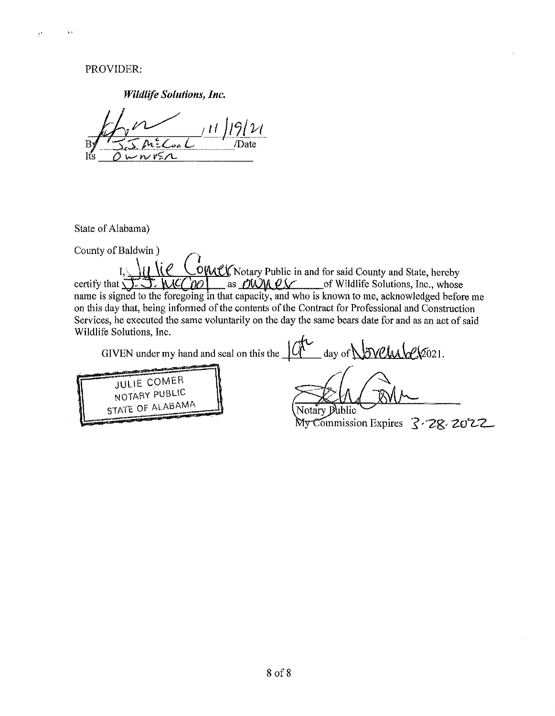PROVIDER:

,,

 $\ell^*$ 

*Wildlife Solutions, Inc.* 

State of Alabama)

County of Baldwin ) .

Baldwin)<br>I,  $\mathcal{U}(\mathcal{C})$  Complex Notary Public in and for said County and State, hereby I. IT *COMPY* Notary Public in and for said County and State, hereby<br>certify that <del>2. 3. MCC 00</del> as <u>OWMPY</u> of Wildlife Solutions, Inc., whose name is signed to the foregoing in that capacity, and who is known to me, acknowledged before me on this day that, being informed of the contents of the Contract for Professional and Construction Services, he executed the same voluntarily on the day the same bears date for and as an act of said Wildlife Solutions, Inc.

GIVEN under my hand and seal on this the  $\frac{1}{10}$  day of  $\sqrt{N}$  .  $\frac{1}{10}$  .



ublic Notary E

My Commission Expires 3.28.2022